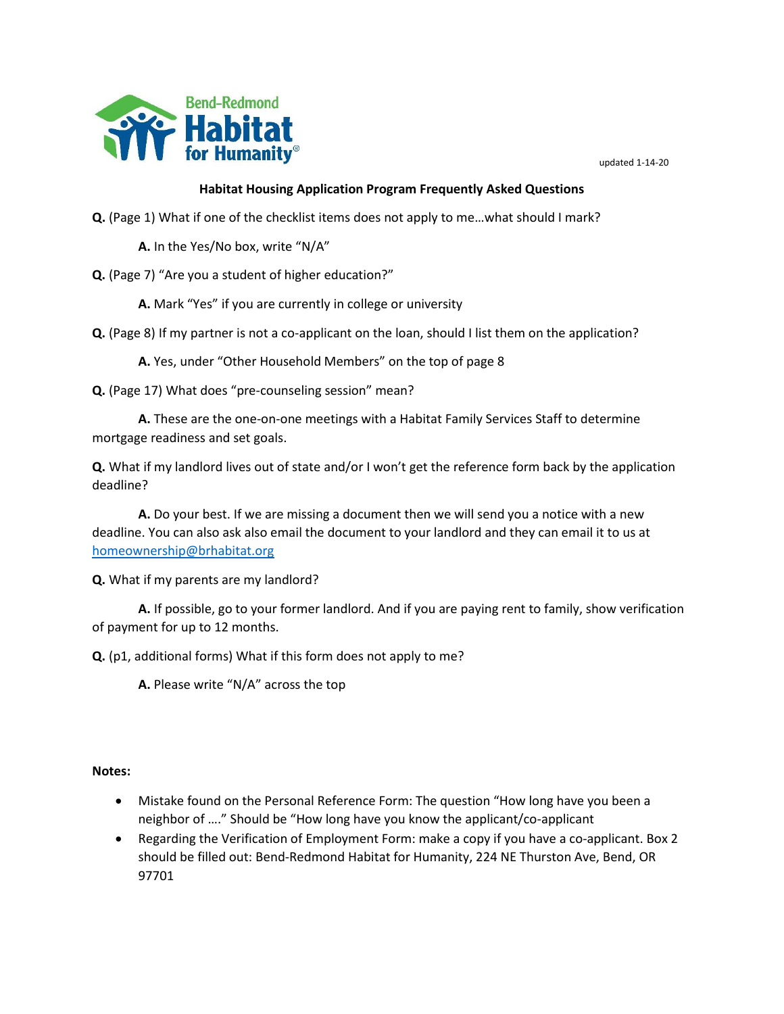

## **Habitat Housing Application Program Frequently Asked Questions**

**Q.** (Page 1) What if one of the checklist items does not apply to me…what should I mark?

**A.** In the Yes/No box, write "N/A"

**Q.** (Page 7) "Are you a student of higher education?"

**A.** Mark "Yes" if you are currently in college or university

**Q.** (Page 8) If my partner is not a co-applicant on the loan, should I list them on the application?

**A.** Yes, under "Other Household Members" on the top of page 8

**Q.** (Page 17) What does "pre-counseling session" mean?

**A.** These are the one-on-one meetings with a Habitat Family Services Staff to determine mortgage readiness and set goals.

**Q.** What if my landlord lives out of state and/or I won't get the reference form back by the application deadline?

**A.** Do your best. If we are missing a document then we will send you a notice with a new deadline. You can also ask also email the document to your landlord and they can email it to us at [homeownership@brhabitat.org](mailto:homeownership@brhabitat.org)

**Q.** What if my parents are my landlord?

**A.** If possible, go to your former landlord. And if you are paying rent to family, show verification of payment for up to 12 months.

**Q.** (p1, additional forms) What if this form does not apply to me?

**A.** Please write "N/A" across the top

**Notes:**

- Mistake found on the Personal Reference Form: The question "How long have you been a neighbor of …." Should be "How long have you know the applicant/co-applicant
- Regarding the Verification of Employment Form: make a copy if you have a co-applicant. Box 2 should be filled out: Bend-Redmond Habitat for Humanity, 224 NE Thurston Ave, Bend, OR 97701